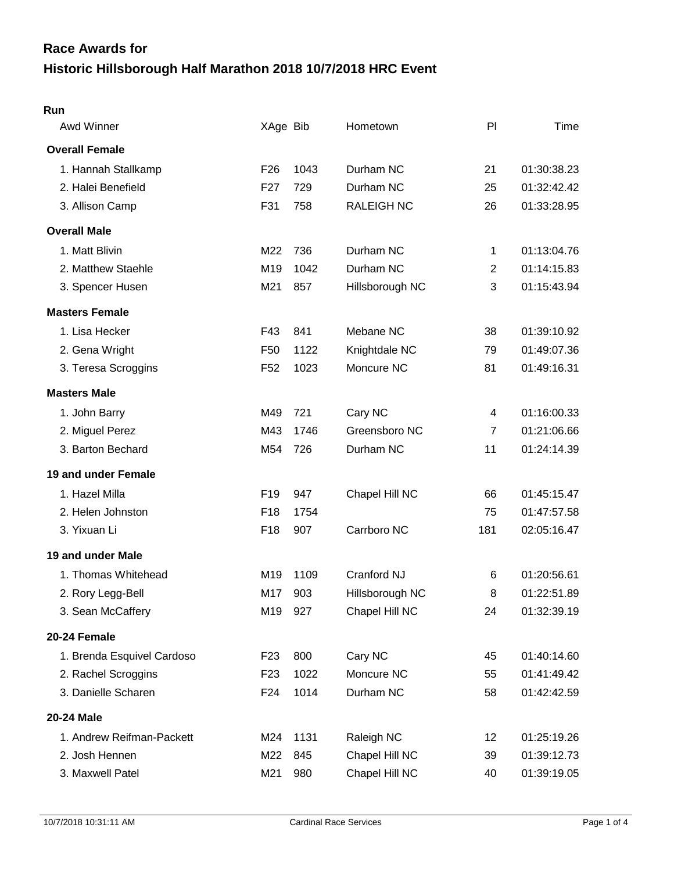# **Historic Hillsborough Half Marathon 2018 10/7/2018 HRC Event Race Awards for**

#### **Run**

| Awd Winner                 | XAge Bib        |      | Hometown          | PI             | Time        |
|----------------------------|-----------------|------|-------------------|----------------|-------------|
| <b>Overall Female</b>      |                 |      |                   |                |             |
| 1. Hannah Stallkamp        | F <sub>26</sub> | 1043 | Durham NC         | 21             | 01:30:38.23 |
| 2. Halei Benefield         | F <sub>27</sub> | 729  | Durham NC         | 25             | 01:32:42.42 |
| 3. Allison Camp            | F31             | 758  | <b>RALEIGH NC</b> | 26             | 01:33:28.95 |
| <b>Overall Male</b>        |                 |      |                   |                |             |
| 1. Matt Blivin             | M22             | 736  | Durham NC         | 1              | 01:13:04.76 |
| 2. Matthew Staehle         | M <sub>19</sub> | 1042 | Durham NC         | $\overline{2}$ | 01:14:15.83 |
| 3. Spencer Husen           | M21             | 857  | Hillsborough NC   | 3              | 01:15:43.94 |
| <b>Masters Female</b>      |                 |      |                   |                |             |
| 1. Lisa Hecker             | F43             | 841  | Mebane NC         | 38             | 01:39:10.92 |
| 2. Gena Wright             | F <sub>50</sub> | 1122 | Knightdale NC     | 79             | 01:49:07.36 |
| 3. Teresa Scroggins        | F <sub>52</sub> | 1023 | Moncure NC        | 81             | 01:49:16.31 |
| <b>Masters Male</b>        |                 |      |                   |                |             |
| 1. John Barry              | M49             | 721  | Cary NC           | 4              | 01:16:00.33 |
| 2. Miguel Perez            | M43             | 1746 | Greensboro NC     | $\overline{7}$ | 01:21:06.66 |
| 3. Barton Bechard          | M54             | 726  | Durham NC         | 11             | 01:24:14.39 |
| 19 and under Female        |                 |      |                   |                |             |
| 1. Hazel Milla             | F19             | 947  | Chapel Hill NC    | 66             | 01:45:15.47 |
| 2. Helen Johnston          | F <sub>18</sub> | 1754 |                   | 75             | 01:47:57.58 |
| 3. Yixuan Li               | F <sub>18</sub> | 907  | Carrboro NC       | 181            | 02:05:16.47 |
| 19 and under Male          |                 |      |                   |                |             |
| 1. Thomas Whitehead        | M19             | 1109 | Cranford NJ       | 6              | 01:20:56.61 |
| 2. Rory Legg-Bell          | M17             | 903  | Hillsborough NC   | 8              | 01:22:51.89 |
| 3. Sean McCaffery          | M19             | 927  | Chapel Hill NC    | 24             | 01:32:39.19 |
| 20-24 Female               |                 |      |                   |                |             |
| 1. Brenda Esquivel Cardoso | F <sub>23</sub> | 800  | Cary NC           | 45             | 01:40:14.60 |
| 2. Rachel Scroggins        | F <sub>23</sub> | 1022 | Moncure NC        | 55             | 01:41:49.42 |
| 3. Danielle Scharen        | F24             | 1014 | Durham NC         | 58             | 01:42:42.59 |
| 20-24 Male                 |                 |      |                   |                |             |
| 1. Andrew Reifman-Packett  | M24             | 1131 | Raleigh NC        | 12             | 01:25:19.26 |
| 2. Josh Hennen             | M22             | 845  | Chapel Hill NC    | 39             | 01:39:12.73 |
| 3. Maxwell Patel           | M21             | 980  | Chapel Hill NC    | 40             | 01:39:19.05 |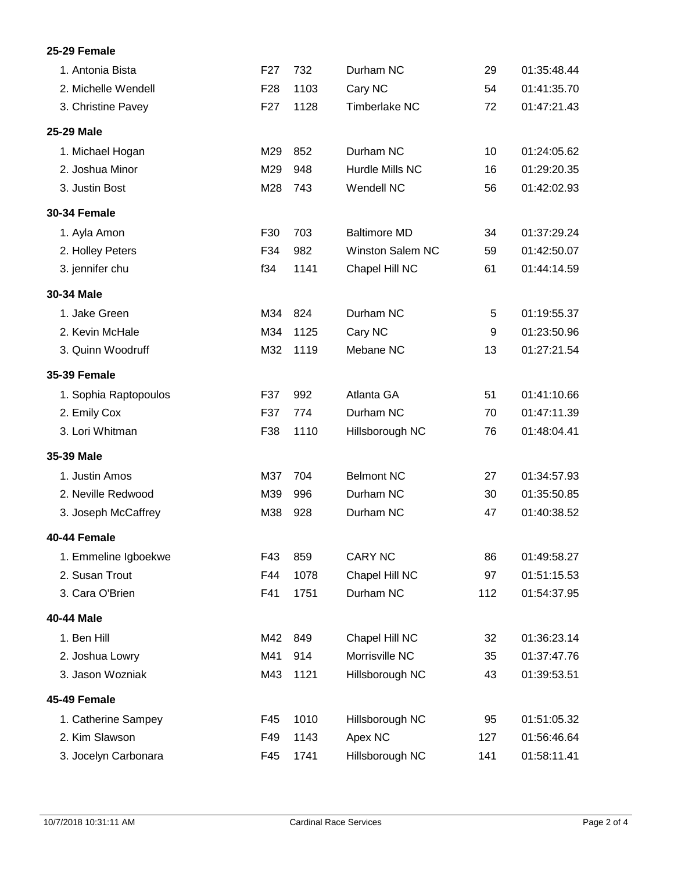# **25-29 Female**

| 1. Antonia Bista      | F <sub>27</sub> | 732  | Durham NC               | 29  | 01:35:48.44 |
|-----------------------|-----------------|------|-------------------------|-----|-------------|
| 2. Michelle Wendell   | F <sub>28</sub> | 1103 | Cary NC                 | 54  | 01:41:35.70 |
| 3. Christine Pavey    | F <sub>27</sub> | 1128 | <b>Timberlake NC</b>    | 72  | 01:47:21.43 |
| 25-29 Male            |                 |      |                         |     |             |
| 1. Michael Hogan      | M29             | 852  | Durham NC               | 10  | 01:24:05.62 |
| 2. Joshua Minor       | M29             | 948  | Hurdle Mills NC         | 16  | 01:29:20.35 |
| 3. Justin Bost        | M28             | 743  | Wendell NC              | 56  | 01:42:02.93 |
| <b>30-34 Female</b>   |                 |      |                         |     |             |
| 1. Ayla Amon          | F30             | 703  | <b>Baltimore MD</b>     | 34  | 01:37:29.24 |
| 2. Holley Peters      | F34             | 982  | <b>Winston Salem NC</b> | 59  | 01:42:50.07 |
| 3. jennifer chu       | f34             | 1141 | Chapel Hill NC          | 61  | 01:44:14.59 |
| 30-34 Male            |                 |      |                         |     |             |
| 1. Jake Green         | M34             | 824  | Durham NC               | 5   | 01:19:55.37 |
| 2. Kevin McHale       | M34             | 1125 | Cary NC                 | 9   | 01:23:50.96 |
| 3. Quinn Woodruff     | M32             | 1119 | Mebane NC               | 13  | 01:27:21.54 |
| <b>35-39 Female</b>   |                 |      |                         |     |             |
| 1. Sophia Raptopoulos | F37             | 992  | Atlanta GA              | 51  | 01:41:10.66 |
| 2. Emily Cox          | F37             | 774  | Durham NC               | 70  | 01:47:11.39 |
| 3. Lori Whitman       | F38             | 1110 | Hillsborough NC         | 76  | 01:48:04.41 |
| 35-39 Male            |                 |      |                         |     |             |
| 1. Justin Amos        | M37             | 704  | <b>Belmont NC</b>       | 27  | 01:34:57.93 |
| 2. Neville Redwood    | M39             | 996  | Durham NC               | 30  | 01:35:50.85 |
| 3. Joseph McCaffrey   | M38             | 928  | Durham NC               | 47  | 01:40:38.52 |
| 40-44 Female          |                 |      |                         |     |             |
| 1. Emmeline Igboekwe  | F43             | 859  | <b>CARY NC</b>          | 86  | 01:49:58.27 |
| 2. Susan Trout        | F44             | 1078 | Chapel Hill NC          | 97  | 01:51:15.53 |
| 3. Cara O'Brien       | F41             | 1751 | Durham NC               | 112 | 01:54:37.95 |
| 40-44 Male            |                 |      |                         |     |             |
| 1. Ben Hill           | M42             | 849  | Chapel Hill NC          | 32  | 01:36:23.14 |
| 2. Joshua Lowry       | M41             | 914  | Morrisville NC          | 35  | 01:37:47.76 |
| 3. Jason Wozniak      | M43             | 1121 | Hillsborough NC         | 43  | 01:39:53.51 |
| 45-49 Female          |                 |      |                         |     |             |
| 1. Catherine Sampey   | F45             | 1010 | Hillsborough NC         | 95  | 01:51:05.32 |
| 2. Kim Slawson        | F49             | 1143 | Apex NC                 | 127 | 01:56:46.64 |
| 3. Jocelyn Carbonara  | F45             | 1741 | Hillsborough NC         | 141 | 01:58:11.41 |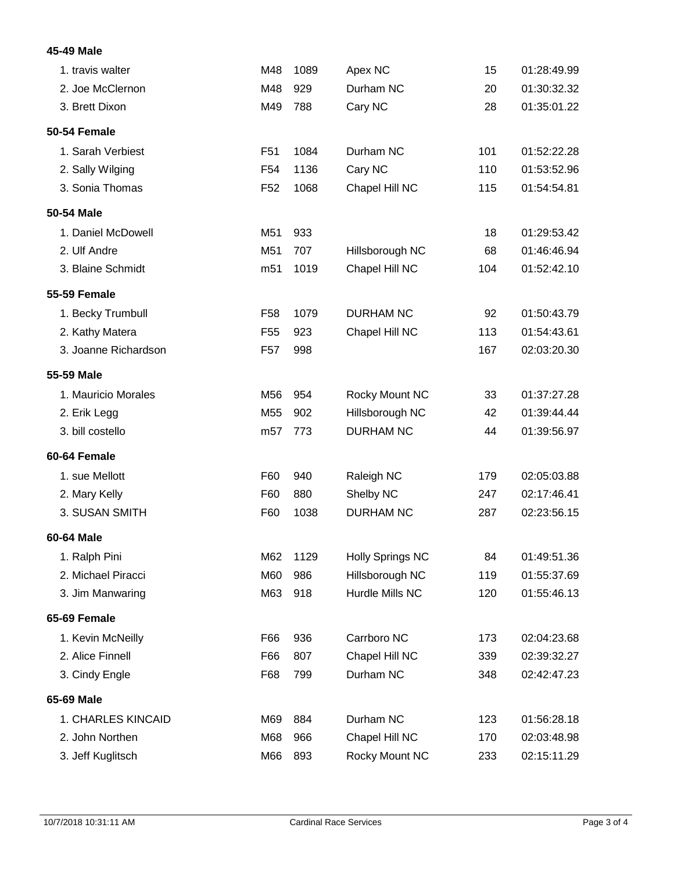# **45-49 Male**

| 1. travis walter     | M48             | 1089 | Apex NC                 | 15  | 01:28:49.99 |
|----------------------|-----------------|------|-------------------------|-----|-------------|
| 2. Joe McClernon     | M48             | 929  | Durham NC               | 20  | 01:30:32.32 |
| 3. Brett Dixon       | M49             | 788  | Cary NC                 | 28  | 01:35:01.22 |
| 50-54 Female         |                 |      |                         |     |             |
| 1. Sarah Verbiest    | F <sub>51</sub> | 1084 | Durham NC               | 101 | 01:52:22.28 |
| 2. Sally Wilging     | F <sub>54</sub> | 1136 | Cary NC                 | 110 | 01:53:52.96 |
| 3. Sonia Thomas      | F <sub>52</sub> | 1068 | Chapel Hill NC          | 115 | 01:54:54.81 |
| 50-54 Male           |                 |      |                         |     |             |
| 1. Daniel McDowell   | M51             | 933  |                         | 18  | 01:29:53.42 |
| 2. Ulf Andre         | M51             | 707  | Hillsborough NC         | 68  | 01:46:46.94 |
| 3. Blaine Schmidt    | m <sub>51</sub> | 1019 | Chapel Hill NC          | 104 | 01:52:42.10 |
| <b>55-59 Female</b>  |                 |      |                         |     |             |
| 1. Becky Trumbull    | F58             | 1079 | <b>DURHAM NC</b>        | 92  | 01:50:43.79 |
| 2. Kathy Matera      | F <sub>55</sub> | 923  | Chapel Hill NC          | 113 | 01:54:43.61 |
| 3. Joanne Richardson | F <sub>57</sub> | 998  |                         | 167 | 02:03:20.30 |
| 55-59 Male           |                 |      |                         |     |             |
| 1. Mauricio Morales  | M56             | 954  | Rocky Mount NC          | 33  | 01:37:27.28 |
| 2. Erik Legg         | M <sub>55</sub> | 902  | Hillsborough NC         | 42  | 01:39:44.44 |
| 3. bill costello     | m <sub>57</sub> | 773  | <b>DURHAM NC</b>        | 44  | 01:39:56.97 |
| 60-64 Female         |                 |      |                         |     |             |
| 1. sue Mellott       | F60             | 940  | Raleigh NC              | 179 | 02:05:03.88 |
| 2. Mary Kelly        | F60             | 880  | Shelby NC               | 247 | 02:17:46.41 |
| 3. SUSAN SMITH       | F60             | 1038 | <b>DURHAM NC</b>        | 287 | 02:23:56.15 |
| 60-64 Male           |                 |      |                         |     |             |
| 1. Ralph Pini        | M62             | 1129 | <b>Holly Springs NC</b> | 84  | 01:49:51.36 |
| 2. Michael Piracci   | M60             | 986  | Hillsborough NC         | 119 | 01:55:37.69 |
| 3. Jim Manwaring     | M63             | 918  | Hurdle Mills NC         | 120 | 01:55:46.13 |
| 65-69 Female         |                 |      |                         |     |             |
| 1. Kevin McNeilly    | F66             | 936  | Carrboro NC             | 173 | 02:04:23.68 |
| 2. Alice Finnell     | F66             | 807  | Chapel Hill NC          | 339 | 02:39:32.27 |
| 3. Cindy Engle       | F68             | 799  | Durham NC               | 348 | 02:42:47.23 |
| 65-69 Male           |                 |      |                         |     |             |
| 1. CHARLES KINCAID   | M69             | 884  | Durham NC               | 123 | 01:56:28.18 |
| 2. John Northen      | M68             | 966  | Chapel Hill NC          | 170 | 02:03:48.98 |
| 3. Jeff Kuglitsch    | M66             | 893  | Rocky Mount NC          | 233 | 02:15:11.29 |